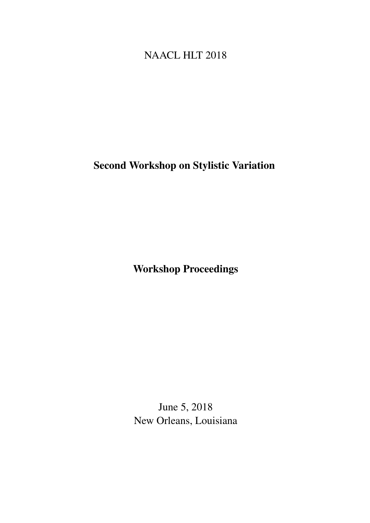# <span id="page-0-0"></span>NAACL HLT 2018

# Second Workshop on Stylistic Variation

Workshop Proceedings

June 5, 2018 New Orleans, Louisiana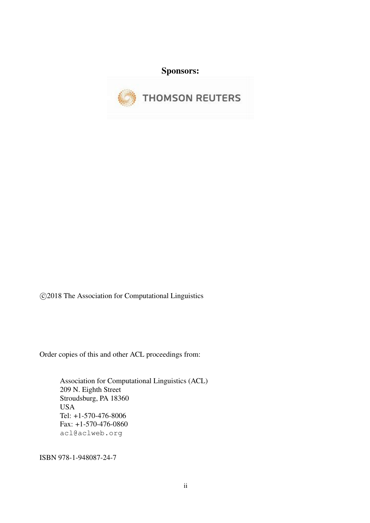Sponsors:



c 2018 The Association for Computational Linguistics

Order copies of this and other ACL proceedings from:

Association for Computational Linguistics (ACL) 209 N. Eighth Street Stroudsburg, PA 18360 USA Tel: +1-570-476-8006 Fax: +1-570-476-0860 acl@aclweb.org

ISBN 978-1-948087-24-7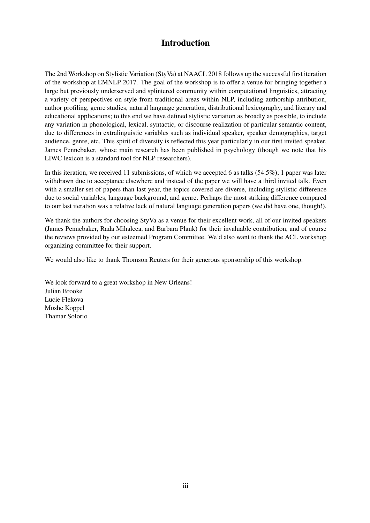### Introduction

The 2nd Workshop on Stylistic Variation (StyVa) at NAACL 2018 follows up the successful first iteration of the workshop at EMNLP 2017. The goal of the workshop is to offer a venue for bringing together a large but previously underserved and splintered community within computational linguistics, attracting a variety of perspectives on style from traditional areas within NLP, including authorship attribution, author profiling, genre studies, natural language generation, distributional lexicography, and literary and educational applications; to this end we have defined stylistic variation as broadly as possible, to include any variation in phonological, lexical, syntactic, or discourse realization of particular semantic content, due to differences in extralinguistic variables such as individual speaker, speaker demographics, target audience, genre, etc. This spirit of diversity is reflected this year particularly in our first invited speaker, James Pennebaker, whose main research has been published in psychology (though we note that his LIWC lexicon is a standard tool for NLP researchers).

In this iteration, we received 11 submissions, of which we accepted 6 as talks (54.5%); 1 paper was later withdrawn due to acceptance elsewhere and instead of the paper we will have a third invited talk. Even with a smaller set of papers than last year, the topics covered are diverse, including stylistic difference due to social variables, language background, and genre. Perhaps the most striking difference compared to our last iteration was a relative lack of natural language generation papers (we did have one, though!).

We thank the authors for choosing StyVa as a venue for their excellent work, all of our invited speakers (James Pennebaker, Rada Mihalcea, and Barbara Plank) for their invaluable contribution, and of course the reviews provided by our esteemed Program Committee. We'd also want to thank the ACL workshop organizing committee for their support.

We would also like to thank Thomson Reuters for their generous sponsorship of this workshop.

We look forward to a great workshop in New Orleans! Julian Brooke Lucie Flekova Moshe Koppel Thamar Solorio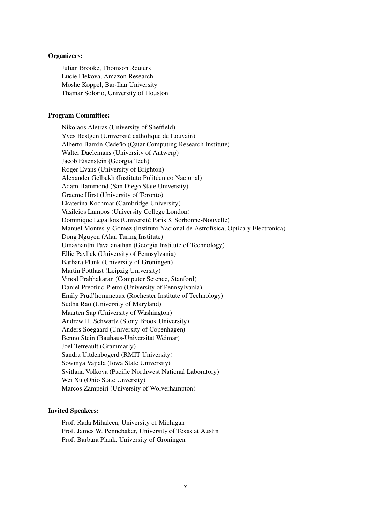#### Organizers:

Julian Brooke, Thomson Reuters Lucie Flekova, Amazon Research Moshe Koppel, Bar-Ilan University Thamar Solorio, University of Houston

#### Program Committee:

Nikolaos Aletras (University of Sheffield) Yves Bestgen (Université catholique de Louvain) Alberto Barrón-Cedeño (Qatar Computing Research Institute) Walter Daelemans (University of Antwerp) Jacob Eisenstein (Georgia Tech) Roger Evans (University of Brighton) Alexander Gelbukh (Instituto Politécnico Nacional) Adam Hammond (San Diego State University) Graeme Hirst (University of Toronto) Ekaterina Kochmar (Cambridge University) Vasileios Lampos (University College London) Dominique Legallois (Université Paris 3, Sorbonne-Nouvelle) Manuel Montes-y-Gomez (Instituto Nacional de Astrofísica, Optica y Electronica) Dong Nguyen (Alan Turing Institute) Umashanthi Pavalanathan (Georgia Institute of Technology) Ellie Pavlick (University of Pennsylvania) Barbara Plank (University of Groningen) Martin Potthast (Leipzig University) Vinod Prabhakaran (Computer Science, Stanford) Daniel Preotiuc-Pietro (University of Pennsylvania) Emily Prud'hommeaux (Rochester Institute of Technology) Sudha Rao (University of Maryland) Maarten Sap (University of Washington) Andrew H. Schwartz (Stony Brook University) Anders Soegaard (University of Copenhagen) Benno Stein (Bauhaus-Universität Weimar) Joel Tetreault (Grammarly) Sandra Uitdenbogerd (RMIT University) Sowmya Vajjala (Iowa State University) Svitlana Volkova (Pacific Northwest National Laboratory) Wei Xu (Ohio State Unversity) Marcos Zampeiri (University of Wolverhampton)

#### Invited Speakers:

Prof. Rada Mihalcea, University of Michigan Prof. James W. Pennebaker, University of Texas at Austin Prof. Barbara Plank, University of Groningen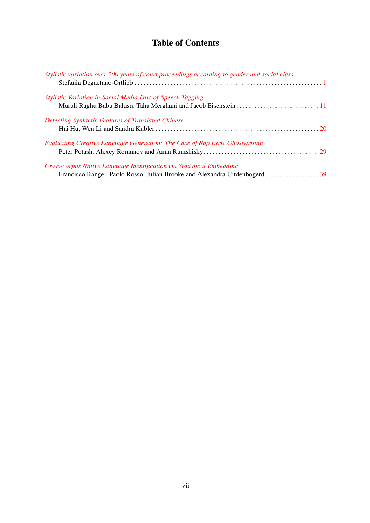## Table of Contents

| Stylistic variation over 200 years of court proceedings according to gender and social class |  |
|----------------------------------------------------------------------------------------------|--|
| Stylistic Variation in Social Media Part-of-Speech Tagging                                   |  |
|                                                                                              |  |
| <b>Detecting Syntactic Features of Translated Chinese</b>                                    |  |
|                                                                                              |  |
| Evaluating Creative Language Generation: The Case of Rap Lyric Ghostwriting                  |  |
|                                                                                              |  |
| Cross-corpus Native Language Identification via Statistical Embedding                        |  |
|                                                                                              |  |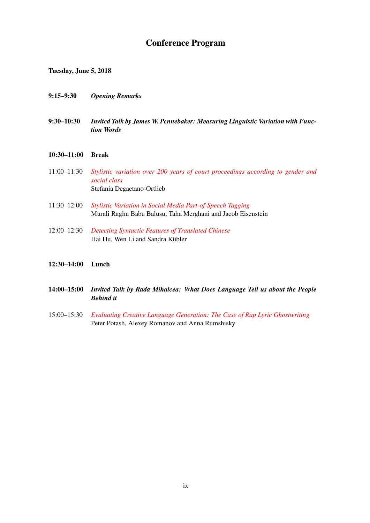### Conference Program

Tuesday, June 5, 2018

- 9:15–9:30 *Opening Remarks*
- 9:30–10:30 *Invited Talk by James W. Pennebaker: Measuring Linguistic Variation with Function Words*

#### 10:30–11:00 Break

- 11:00–11:30 *[Stylistic variation over 200 years of court proceedings according to gender and](#page-0-0) [social class](#page-0-0)* Stefania Degaetano-Ortlieb
- 11:30–12:00 *[Stylistic Variation in Social Media Part-of-Speech Tagging](#page-0-0)* Murali Raghu Babu Balusu, Taha Merghani and Jacob Eisenstein
- 12:00–12:30 *[Detecting Syntactic Features of Translated Chinese](#page-0-0)* Hai Hu, Wen Li and Sandra Kübler

#### 12:30–14:00 Lunch

- 14:00–15:00 *Invited Talk by Rada Mihalcea: What Does Language Tell us about the People Behind it*
- 15:00–15:30 *[Evaluating Creative Language Generation: The Case of Rap Lyric Ghostwriting](#page-0-0)* Peter Potash, Alexey Romanov and Anna Rumshisky